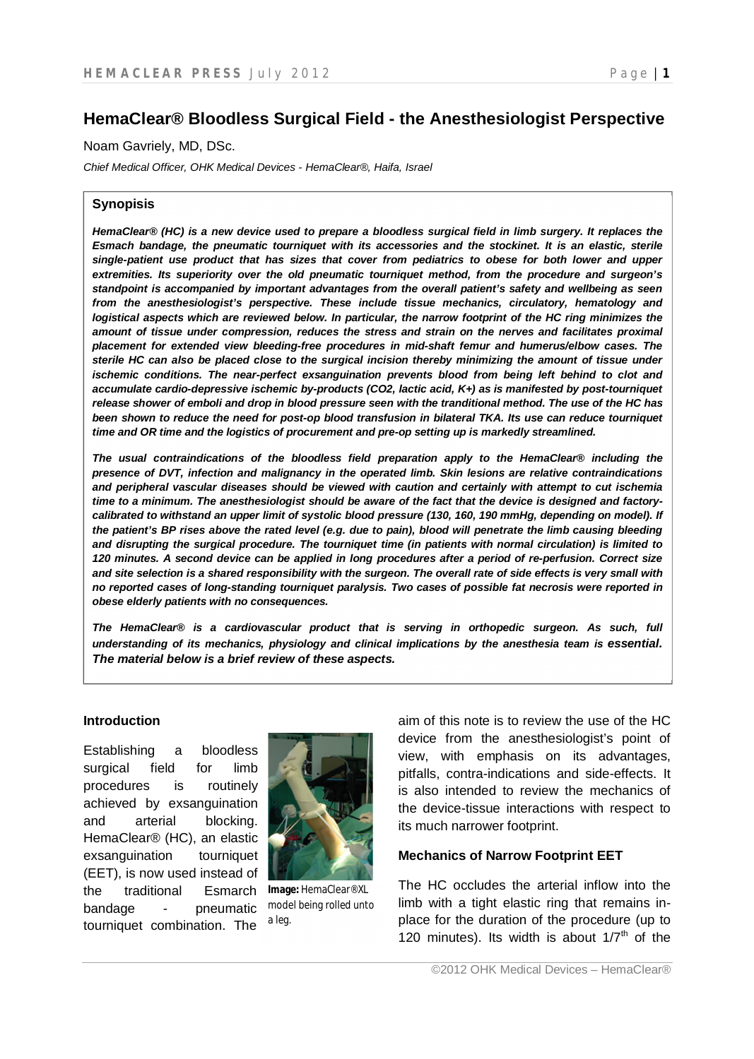# **HemaClear® Bloodless Surgical Field - the Anesthesiologist Perspective**

Noam Gavriely, MD, DSc.

*Chief Medical Officer, OHK Medical Devices - HemaClear®, Haifa, Israel*

### **Synopisis**

*HemaClear® (HC) is a new device used to prepare a bloodless surgical field in limb surgery. It replaces the Esmach bandage, the pneumatic tourniquet with its accessories and the stockinet. It is an elastic, sterile single-patient use product that has sizes that cover from pediatrics to obese for both lower and upper extremities. Its superiority over the old pneumatic tourniquet method, from the procedure and surgeon's standpoint is accompanied by important advantages from the overall patient's safety and wellbeing as seen from the anesthesiologist's perspective. These include tissue mechanics, circulatory, hematology and* logistical aspects which are reviewed below. In particular, the narrow footprint of the HC ring minimizes the amount of tissue under compression, reduces the stress and strain on the nerves and facilitates proximal *placement for extended view bleeding-free procedures in mid-shaft femur and humerus/elbow cases. The sterile HC can also be placed close to the surgical incision thereby minimizing the amount of tissue under*  ischemic conditions. The near-perfect exsanguination prevents blood from being left behind to clot and *accumulate cardio-depressive ischemic by-products (CO2, lactic acid, K+) as is manifested by post-tourniquet release shower of emboli and drop in blood pressure seen with the tranditional method. The use of the HC has been shown to reduce the need for post-op blood transfusion in bilateral TKA. Its use can reduce tourniquet time and OR time and the logistics of procurement and pre-op setting up is markedly streamlined.*

*The usual contraindications of the bloodless field preparation apply to the HemaClear® including the presence of DVT, infection and malignancy in the operated limb. Skin lesions are relative contraindications and peripheral vascular diseases should be viewed with caution and certainly with attempt to cut ischemia time to a minimum. The anesthesiologist should be aware of the fact that the device is designed and factorycalibrated to withstand an upper limit of systolic blood pressure (130, 160, 190 mmHg, depending on model). If the patient's BP rises above the rated level (e.g. due to pain), blood will penetrate the limb causing bleeding and disrupting the surgical procedure. The tourniquet time (in patients with normal circulation) is limited to 120 minutes. A second device can be applied in long procedures after a period of re-perfusion. Correct size and site selection is a shared responsibility with the surgeon. The overall rate of side effects is very small with no reported cases of long-standing tourniquet paralysis. Two cases of possible fat necrosis were reported in obese elderly patients with no consequences.* 

*The HemaClear® is a cardiovascular product that is serving in orthopedic surgeon. As such, full*  understanding of its mechanics, physiology and clinical implications by the anesthesia team is essential. *The material below is a brief review of these aspects.*

#### **Introduction**

Establishing a bloodless surgical field for limb procedures is routinely achieved by exsanguination and arterial blocking. HemaClear® (HC), an elastic exsanguination tourniquet (EET), is now used instead of the traditional Esmarch bandage - pneumatic tourniquet combination. The



**Image:** HemaClear® XL model being rolled unto a leg.

aim of this note is to review the use of the HC device from the anesthesiologist's point of view, with emphasis on its advantages, pitfalls, contra-indications and side-effects. It is also intended to review the mechanics of the device-tissue interactions with respect to its much narrower footprint.

### **Mechanics of Narrow Footprint EET**

The HC occludes the arterial inflow into the limb with a tight elastic ring that remains inplace for the duration of the procedure (up to 120 minutes). Its width is about  $1/7<sup>th</sup>$  of the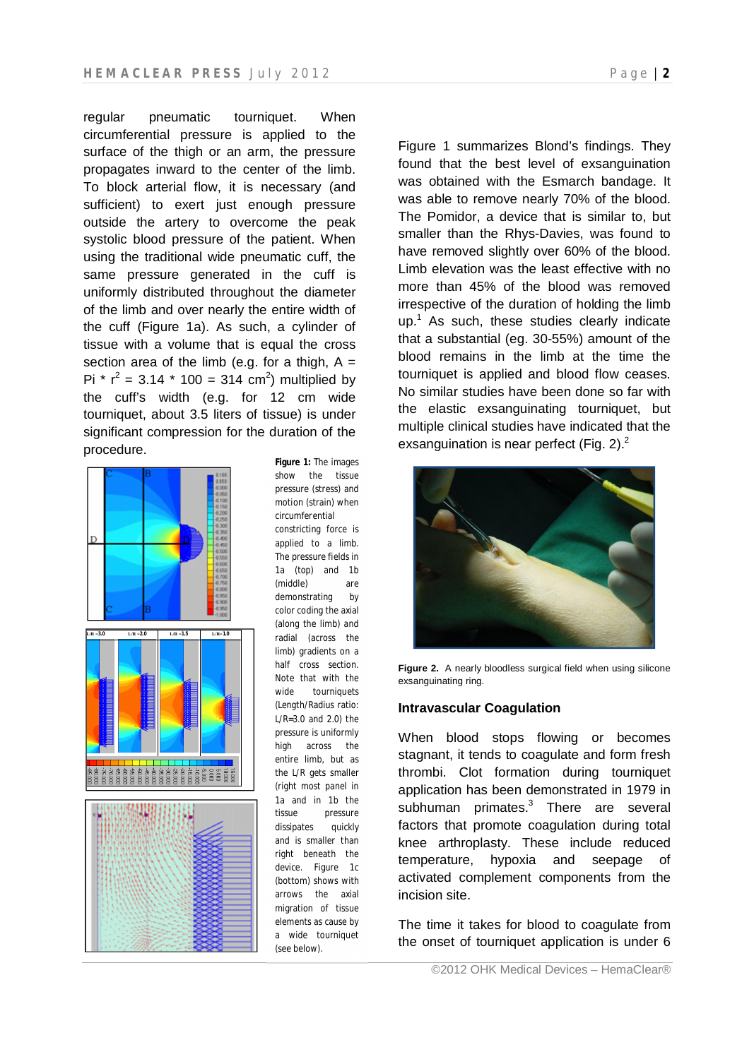regular pneumatic tourniquet. When circumferential pressure is applied to the surface of the thigh or an arm, the pressure propagates inward to the center of the limb. To block arterial flow, it is necessary (and sufficient) to exert just enough pressure outside the artery to overcome the peak systolic blood pressure of the patient. When using the traditional wide pneumatic cuff, the same pressure generated in the cuff is uniformly distributed throughout the diameter of the limb and over nearly the entire width of the cuff (Figure 1a). As such, a cylinder of tissue with a volume that is equal the cross section area of the limb (e.g. for a thigh,  $A =$ Pi \*  $r^2 = 3.14$  \* 100 = 314 cm<sup>2</sup>) multiplied by the cuff's width (e.g. for 12 cm wide tourniquet, about 3.5 liters of tissue) is under significant compression for the duration of the procedure.



**Figure 1:** The images show the tissue pressure (stress) and motion (strain) when circumferential constricting force is applied to a limb. The pressure fields in 1a (top) and 1b (middle) are demonstrating by color coding the axial (along the limb) and radial (across the limb) gradients on a half cross section. Note that with the wide tourniquets (Length/Radius ratio: L/R=3.0 and 2.0) the pressure is uniformly high across the entire limb, but as the L/R gets smaller (right most panel in 1a and in 1b the tissue pressure dissipates quickly and is smaller than right beneath the device. Figure 1c (bottom) shows with arrows the axial migration of tissue elements as cause by a wide tourniquet (see below).

Figure 1 summarizes Blond's findings. They found that the best level of exsanguination was obtained with the Esmarch bandage. It was able to remove nearly 70% of the blood. The Pomidor, a device that is similar to, but smaller than the Rhys-Davies, was found to have removed slightly over 60% of the blood. Limb elevation was the least effective with no more than 45% of the blood was removed irrespective of the duration of holding the limb  $up.<sup>1</sup>$  As such, these studies clearly indicate that a substantial (eg. 30-55%) amount of the blood remains in the limb at the time the tourniquet is applied and blood flow ceases. No similar studies have been done so far with the elastic exsanguinating tourniquet, but multiple clinical studies have indicated that the exsanguination is near perfect (Fig. 2). $<sup>2</sup>$ </sup>



**Figure 2.** A nearly bloodless surgical field when using silicone exsanguinating ring.

#### **Intravascular Coagulation**

When blood stops flowing or becomes stagnant, it tends to coagulate and form fresh thrombi. Clot formation during tourniquet application has been demonstrated in 1979 in subhuman primates. $3$  There are several factors that promote coagulation during total knee arthroplasty. These include reduced temperature, hypoxia and seepage of activated complement components from the incision site.

The time it takes for blood to coagulate from the onset of tourniquet application is under 6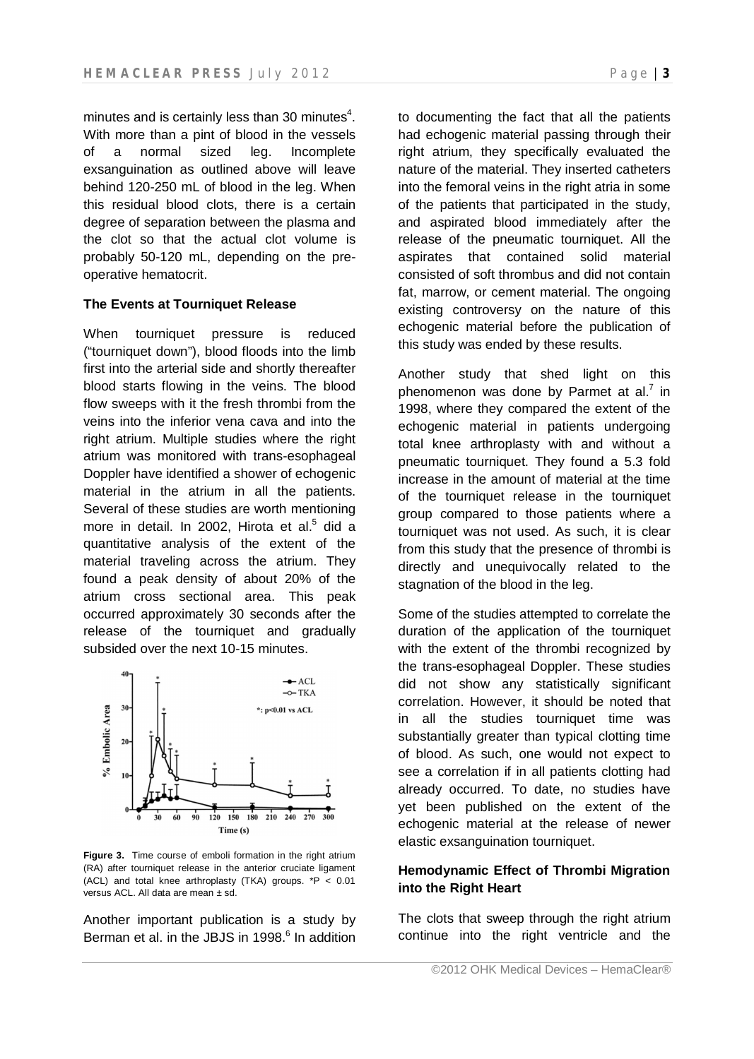minutes and is certainly less than 30 minutes $4$ . With more than a pint of blood in the vessels of a normal sized leg. Incomplete exsanguination as outlined above will leave behind 120-250 mL of blood in the leg. When this residual blood clots, there is a certain degree of separation between the plasma and the clot so that the actual clot volume is probably 50-120 mL, depending on the preoperative hematocrit.

# **The Events at Tourniquet Release**

When tourniquet pressure is reduced ("tourniquet down"), blood floods into the limb first into the arterial side and shortly thereafter blood starts flowing in the veins. The blood flow sweeps with it the fresh thrombi from the veins into the inferior vena cava and into the right atrium. Multiple studies where the right atrium was monitored with trans-esophageal Doppler have identified a shower of echogenic material in the atrium in all the patients. Several of these studies are worth mentioning more in detail. In 2002, Hirota et al.<sup>5</sup> did a quantitative analysis of the extent of the material traveling across the atrium. They found a peak density of about 20% of the atrium cross sectional area. This peak occurred approximately 30 seconds after the release of the tourniquet and gradually subsided over the next 10-15 minutes.



**Figure 3.** Time course of emboli formation in the right atrium (RA) after tourniquet release in the anterior cruciate ligament (ACL) and total knee arthroplasty (TKA) groups. \*P < 0.01 versus ACL. All data are mean ± sd.

Another important publication is a study by Berman et al. in the JBJS in 1998.<sup>6</sup> In addition to documenting the fact that all the patients had echogenic material passing through their right atrium, they specifically evaluated the nature of the material. They inserted catheters into the femoral veins in the right atria in some of the patients that participated in the study, and aspirated blood immediately after the release of the pneumatic tourniquet. All the aspirates that contained solid material consisted of soft thrombus and did not contain fat, marrow, or cement material. The ongoing existing controversy on the nature of this echogenic material before the publication of this study was ended by these results.

Another study that shed light on this phenomenon was done by Parmet at al.<sup>7</sup> in 1998, where they compared the extent of the echogenic material in patients undergoing total knee arthroplasty with and without a pneumatic tourniquet. They found a 5.3 fold increase in the amount of material at the time of the tourniquet release in the tourniquet group compared to those patients where a tourniquet was not used. As such, it is clear from this study that the presence of thrombi is directly and unequivocally related to the stagnation of the blood in the leg.

Some of the studies attempted to correlate the duration of the application of the tourniquet with the extent of the thrombi recognized by the trans-esophageal Doppler. These studies did not show any statistically significant correlation. However, it should be noted that in all the studies tourniquet time was substantially greater than typical clotting time of blood. As such, one would not expect to see a correlation if in all patients clotting had already occurred. To date, no studies have yet been published on the extent of the echogenic material at the release of newer elastic exsanguination tourniquet.

# **Hemodynamic Effect of Thrombi Migration into the Right Heart**

The clots that sweep through the right atrium continue into the right ventricle and the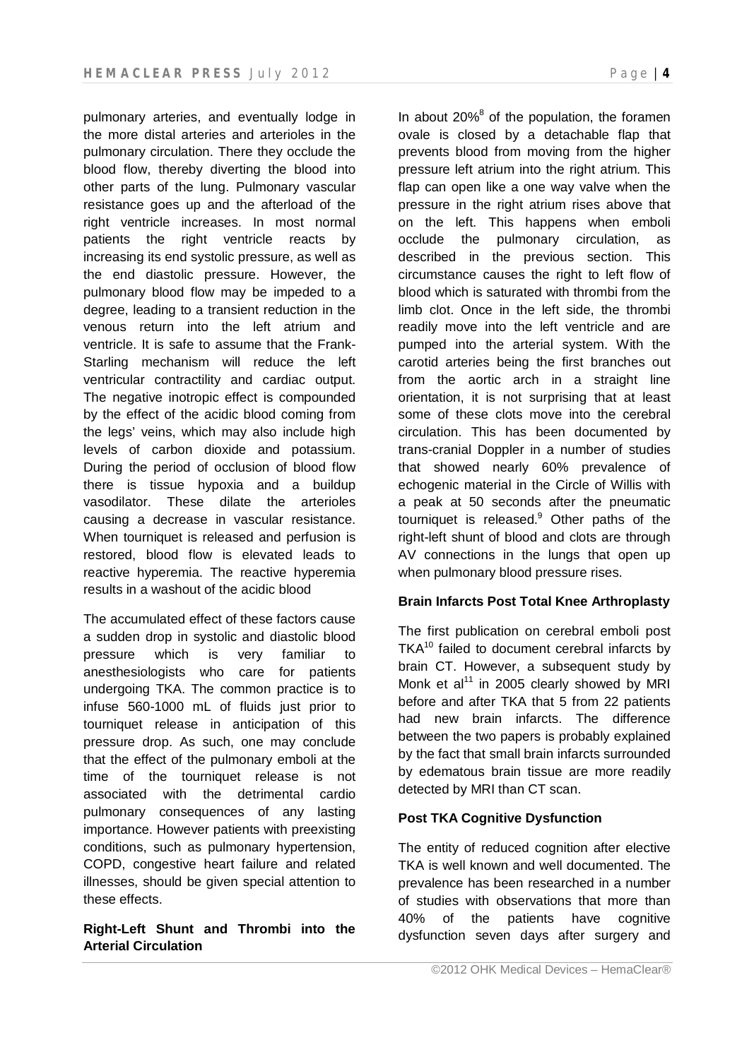pulmonary arteries, and eventually lodge in the more distal arteries and arterioles in the pulmonary circulation. There they occlude the blood flow, thereby diverting the blood into other parts of the lung. Pulmonary vascular resistance goes up and the afterload of the right ventricle increases. In most normal patients the right ventricle reacts by increasing its end systolic pressure, as well as the end diastolic pressure. However, the pulmonary blood flow may be impeded to a degree, leading to a transient reduction in the venous return into the left atrium and ventricle. It is safe to assume that the Frank-Starling mechanism will reduce the left ventricular contractility and cardiac output. The negative inotropic effect is compounded by the effect of the acidic blood coming from the legs' veins, which may also include high levels of carbon dioxide and potassium. During the period of occlusion of blood flow there is tissue hypoxia and a buildup vasodilator. These dilate the arterioles causing a decrease in vascular resistance. When tourniquet is released and perfusion is restored, blood flow is elevated leads to reactive hyperemia. The reactive hyperemia results in a washout of the acidic blood

The accumulated effect of these factors cause a sudden drop in systolic and diastolic blood pressure which is very familiar to anesthesiologists who care for patients undergoing TKA. The common practice is to infuse 560-1000 mL of fluids just prior to tourniquet release in anticipation of this pressure drop. As such, one may conclude that the effect of the pulmonary emboli at the time of the tourniquet release is not associated with the detrimental cardio pulmonary consequences of any lasting importance. However patients with preexisting conditions, such as pulmonary hypertension, COPD, congestive heart failure and related illnesses, should be given special attention to these effects.

# **Right-Left Shunt and Thrombi into the Arterial Circulation**

In about  $20\%$ <sup>8</sup> of the population, the foramen ovale is closed by a detachable flap that prevents blood from moving from the higher pressure left atrium into the right atrium. This flap can open like a one way valve when the pressure in the right atrium rises above that on the left. This happens when emboli occlude the pulmonary circulation, as described in the previous section. This circumstance causes the right to left flow of blood which is saturated with thrombi from the limb clot. Once in the left side, the thrombi readily move into the left ventricle and are pumped into the arterial system. With the carotid arteries being the first branches out from the aortic arch in a straight line orientation, it is not surprising that at least some of these clots move into the cerebral circulation. This has been documented by trans-cranial Doppler in a number of studies that showed nearly 60% prevalence of echogenic material in the Circle of Willis with a peak at 50 seconds after the pneumatic tourniquet is released. $9$  Other paths of the right-left shunt of blood and clots are through AV connections in the lungs that open up when pulmonary blood pressure rises.

# **Brain Infarcts Post Total Knee Arthroplasty**

The first publication on cerebral emboli post  $TKA^{10}$  failed to document cerebral infarcts by brain CT. However, a subsequent study by Monk et al $<sup>11</sup>$  in 2005 clearly showed by MRI</sup> before and after TKA that 5 from 22 patients had new brain infarcts. The difference between the two papers is probably explained by the fact that small brain infarcts surrounded by edematous brain tissue are more readily detected by MRI than CT scan.

# **Post TKA Cognitive Dysfunction**

The entity of reduced cognition after elective TKA is well known and well documented. The prevalence has been researched in a number of studies with observations that more than 40% of the patients have cognitive dysfunction seven days after surgery and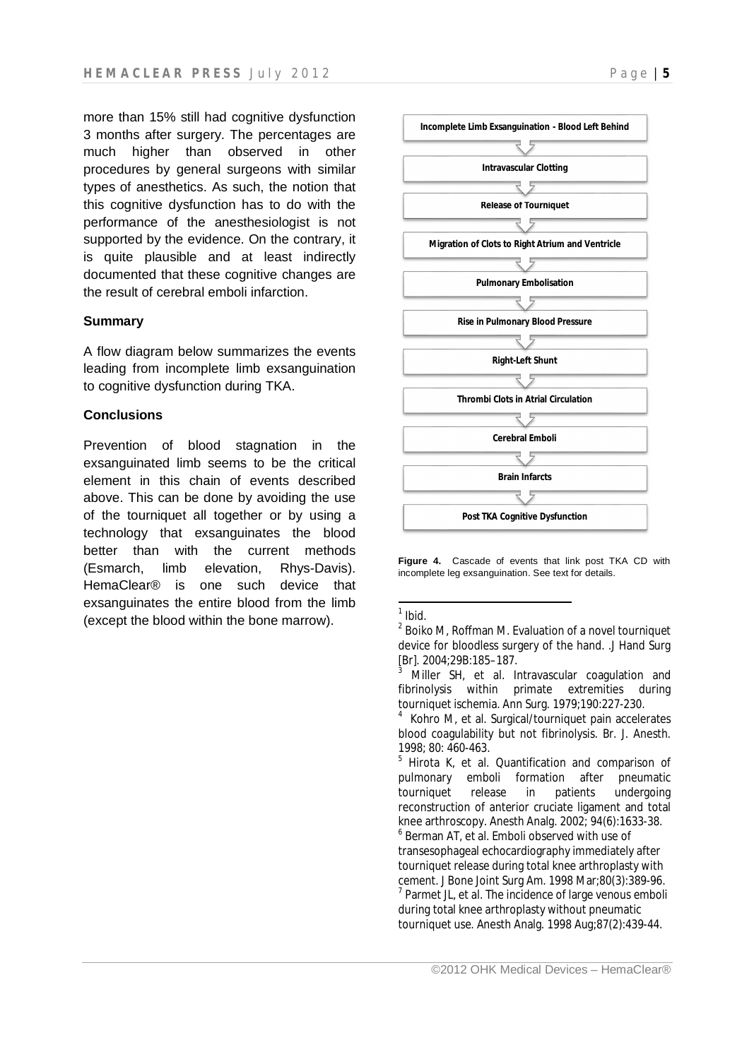more than 15% still had cognitive dysfunction 3 months after surgery. The percentages are much higher than observed in other procedures by general surgeons with similar types of anesthetics. As such, the notion that this cognitive dysfunction has to do with the performance of the anesthesiologist is not supported by the evidence. On the contrary, it is quite plausible and at least indirectly documented that these cognitive changes are the result of cerebral emboli infarction.

### **Summary**

A flow diagram below summarizes the events leading from incomplete limb exsanguination to cognitive dysfunction during TKA.

### **Conclusions**

Prevention of blood stagnation in the exsanguinated limb seems to be the critical element in this chain of events described above. This can be done by avoiding the use of the tourniquet all together or by using a technology that exsanguinates the blood better than with the current methods (Esmarch, limb elevation, Rhys-Davis). HemaClear® is one such device that exsanguinates the entire blood from the limb (except the blood within the bone marrow).



**Figure 4.** Cascade of events that link post TKA CD with incomplete leg exsanguination. See text for details.

 1 *Ibid.*

 $2$  Boiko M, Roffman M. Evaluation of a novel tourniquet device for bloodless surgery of the hand. .J Hand Surg [Br]. 2004;29B:185–187.

Miller SH, et al. Intravascular coagulation and fibrinolysis within primate extremities during tourniquet ischemia. Ann Surg. 1979;190:227-230.

<sup>4</sup> Kohro M, et al. Surgical/tourniquet pain accelerates blood coagulability but not fibrinolysis. Br. J. Anesth. 1998; 80: 460-463.

<sup>&</sup>lt;sup>5</sup> Hirota K, et al. Quantification and comparison of pulmonary emboli formation after pneumatic tourniquet release in patients undergoing reconstruction of anterior cruciate ligament and total knee arthroscopy. Anesth Analg. 2002; 94(6):1633-38. 6 Berman AT, et al. Emboli observed with use of transesophageal echocardiography immediately after tourniquet release during total knee arthroplasty with cement. J Bone Joint Surg Am. 1998 Mar;80(3):389-96.  $<sup>7</sup>$  Parmet JL, et al. The incidence of large venous emboli</sup> during total knee arthroplasty without pneumatic tourniquet use. Anesth Analg. 1998 Aug;87(2):439-44.